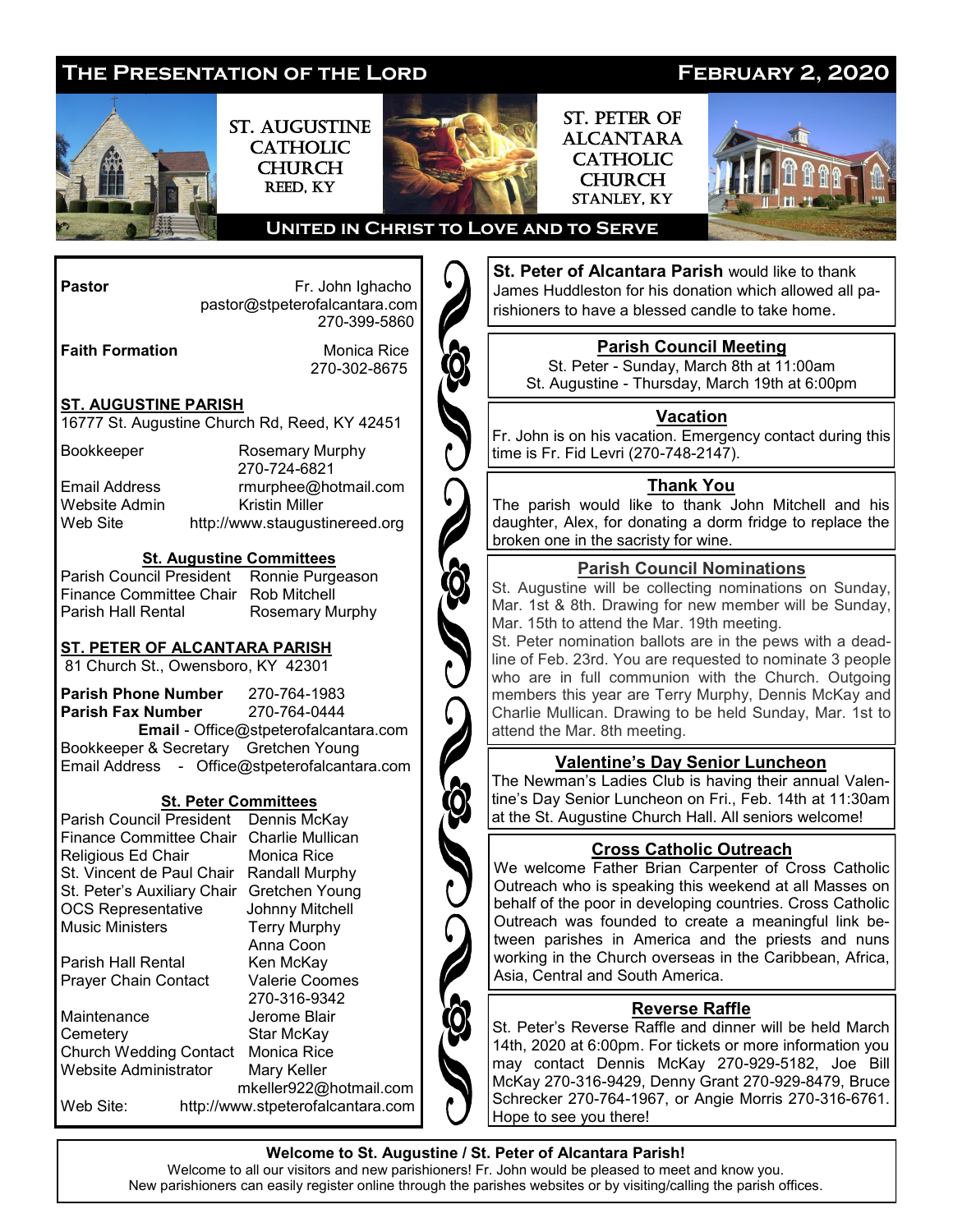

**Welcome to St. Augustine / St. Peter of Alcantara Parish!** Welcome to all our visitors and new parishioners! Fr. John would be pleased to meet and know you.

New parishioners can easily register online through the parishes websites or by visiting/calling the parish offices.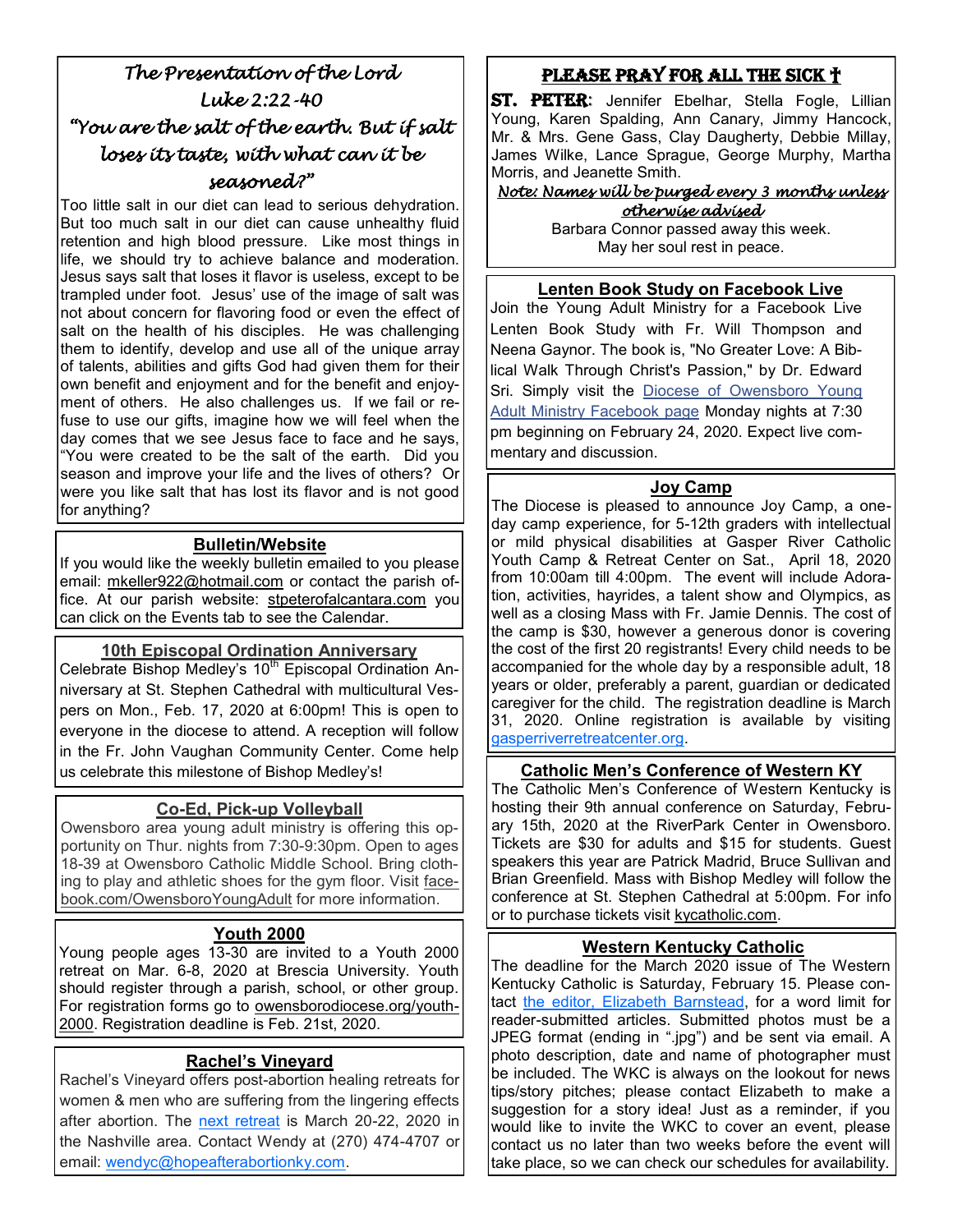# *The Presentation of the Lord Luke 2:22-40 "You are the salt of the earth. But if salt loses its taste, with what can it be seasoned?"*

Too little salt in our diet can lead to serious dehydration. But too much salt in our diet can cause unhealthy fluid retention and high blood pressure. Like most things in life, we should try to achieve balance and moderation. Jesus says salt that loses it flavor is useless, except to be trampled under foot. Jesus' use of the image of salt was not about concern for flavoring food or even the effect of salt on the health of his disciples. He was challenging them to identify, develop and use all of the unique array of talents, abilities and gifts God had given them for their own benefit and enjoyment and for the benefit and enjoyment of others. He also challenges us. If we fail or refuse to use our gifts, imagine how we will feel when the day comes that we see Jesus face to face and he says, "You were created to be the salt of the earth. Did you season and improve your life and the lives of others? Or were you like salt that has lost its flavor and is not good for anything?

### **Bulletin/Website**

If you would like the weekly bulletin emailed to you please email: mkeller922@hotmail.com or contact the parish office. At our parish website: stpeterofalcantara.com you can click on the Events tab to see the Calendar.

### **10th Episcopal Ordination Anniversary**

Celebrate Bishop Medley's 10<sup>th</sup> Episcopal Ordination Anniversary at St. Stephen Cathedral with multicultural Vespers on Mon., Feb. 17, 2020 at 6:00pm! This is open to everyone in the diocese to attend. A reception will follow in the Fr. John Vaughan Community Center. Come help us celebrate this milestone of Bishop Medley's!

### **Co-Ed, Pick-up Volleyball**

Owensboro area young adult ministry is offering this opportunity on Thur. nights from 7:30-9:30pm. Open to ages 18-39 at Owensboro Catholic Middle School. Bring clothing to play and athletic shoes for the gym floor. Visit facebook.com/OwensboroYoungAdult for more information.

### **Youth 2000**

Young people ages 13-30 are invited to a Youth 2000 retreat on Mar. 6-8, 2020 at Brescia University. Youth should register through a parish, school, or other group. For registration forms go to owensborodiocese.org/youth-2000. Registration deadline is Feb. 21st, 2020.

### **Rachel's Vineyard**

Rachel's Vineyard offers post-abortion healing retreats for women & men who are suffering from the lingering effects after abortion. The [next retreat](https://owensborodiocese.org/wp-content/uploads/RV-flier-March-2020-1.pdf) is March 20-22, 2020 in the Nashville area. Contact Wendy at (270) 474-4707 or email: [wendyc@hopeafterabortionky.com.](mailto:wendyc@hopeafterabortionky.com)

### Please Pray for all the sick †

ST. PETER: Jennifer Ebelhar, Stella Fogle, Lillian Young, Karen Spalding, Ann Canary, Jimmy Hancock, Mr. & Mrs. Gene Gass, Clay Daugherty, Debbie Millay, James Wilke, Lance Sprague, George Murphy, Martha Morris, and Jeanette Smith.

#### *Note: Names will be purged every 3 months unless otherwise advised*

Barbara Connor passed away this week. May her soul rest in peace.

#### **Lenten Book Study on Facebook Live**

Join the Young Adult Ministry for a Facebook Live Lenten Book Study with Fr. Will Thompson and Neena Gaynor. The book is, "No Greater Love: A Biblical Walk Through Christ's Passion," by Dr. Edward Sri. Simply visit the [Diocese of Owensboro Young](https://www.facebook.com/events/1096991273985105/)  [Adult Ministry Facebook page](https://www.facebook.com/events/1096991273985105/) Monday nights at 7:30 pm beginning on February 24, 2020. Expect live commentary and discussion.

#### **Joy Camp**

The Diocese is pleased to announce Joy Camp, a oneday camp experience, for 5-12th graders with intellectual or mild physical disabilities at Gasper River Catholic Youth Camp & Retreat Center on Sat., April 18, 2020 from 10:00am till 4:00pm. The event will include Adoration, activities, hayrides, a talent show and Olympics, as well as a closing Mass with Fr. Jamie Dennis. The cost of the camp is \$30, however a generous donor is covering the cost of the first 20 registrants! Every child needs to be accompanied for the whole day by a responsible adult, 18 years or older, preferably a parent, guardian or dedicated caregiver for the child. The registration deadline is March 31, 2020. Online registration is available by visiting [gasperriverretreatcenter.org.](http://www.gasperriverretreatcenter.org/)

#### **Catholic Men's Conference of Western KY**

The Catholic Men's Conference of Western Kentucky is hosting their 9th annual conference on Saturday, February 15th, 2020 at the RiverPark Center in Owensboro. Tickets are \$30 for adults and \$15 for students. Guest speakers this year are Patrick Madrid, Bruce Sullivan and Brian Greenfield. Mass with Bishop Medley will follow the conference at St. Stephen Cathedral at 5:00pm. For info or to purchase tickets visit kycatholic.com.

### **Western Kentucky Catholic**

The deadline for the March 2020 issue of The Western Kentucky Catholic is Saturday, February 15. Please contact [the editor, Elizabeth Barnstead,](mailto:elizabeth.barnstead@pastoral.org) for a word limit for reader-submitted articles. Submitted photos must be a JPEG format (ending in ".jpg") and be sent via email. A photo description, date and name of photographer must be included. The WKC is always on the lookout for news tips/story pitches; please contact Elizabeth to make a suggestion for a story idea! Just as a reminder, if you would like to invite the WKC to cover an event, please contact us no later than two weeks before the event will take place, so we can check our schedules for availability.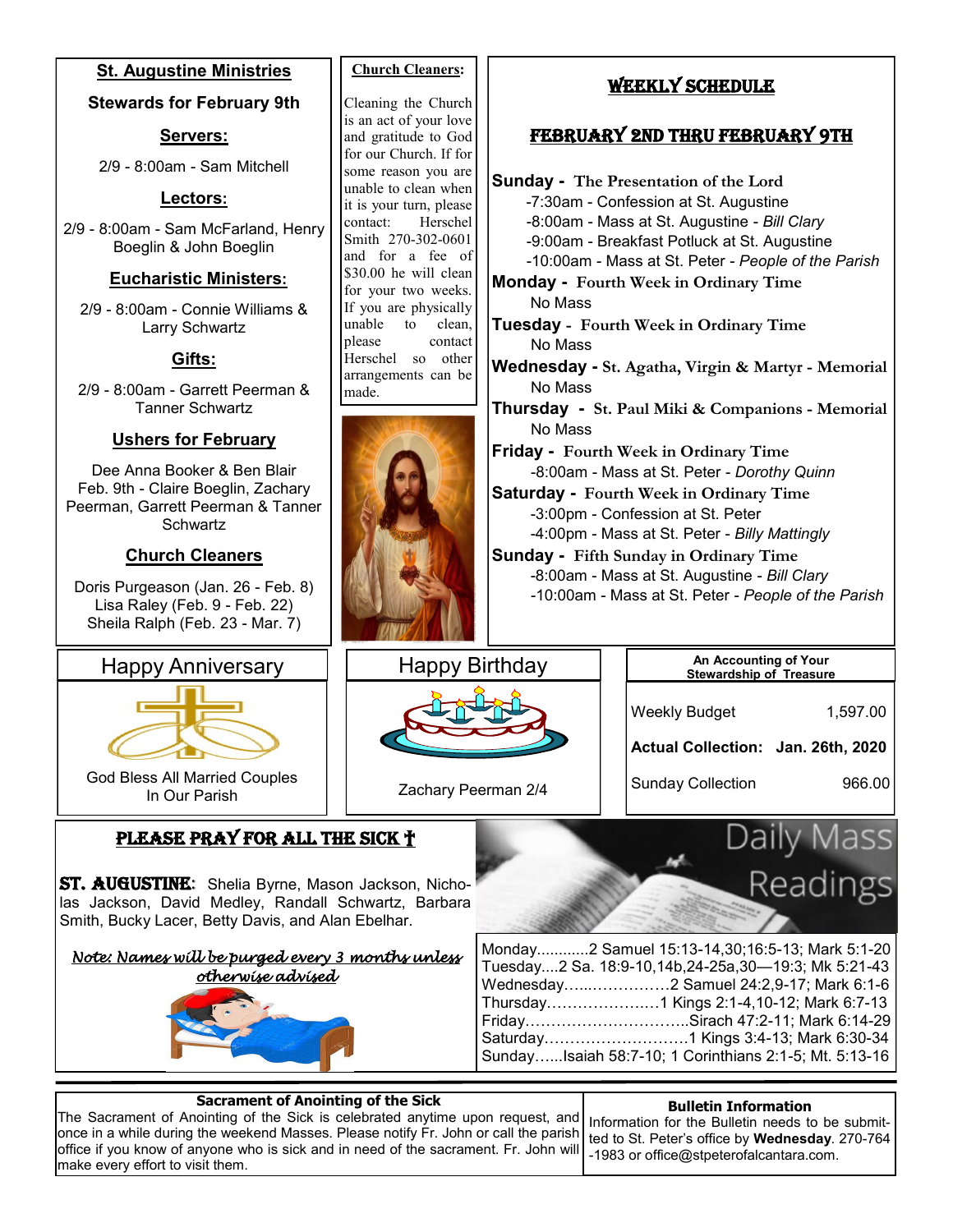



### **Sacrament of Anointing of the Sick**

The Sacrament of Anointing of the Sick is celebrated anytime upon request, and once in a while during the weekend Masses. Please notify Fr. John or call the parish office if you know of anyone who is sick and in need of the sacrament. Fr. John will make every effort to visit them.

#### **Bulletin Information**

 ted to St. Peter's office by **Wednesday**. 270-764 Information for the Bulletin needs to be submit--1983 or office@stpeterofalcantara.com.

 $\overline{\phantom{a}}$